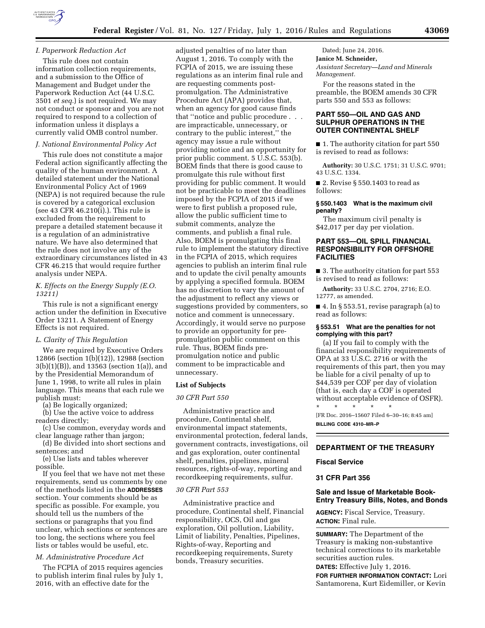

## *I. Paperwork Reduction Act*

This rule does not contain information collection requirements, and a submission to the Office of Management and Budget under the Paperwork Reduction Act (44 U.S.C. 3501 *et seq.*) is not required. We may not conduct or sponsor and you are not required to respond to a collection of information unless it displays a currently valid OMB control number.

#### *J. National Environmental Policy Act*

This rule does not constitute a major Federal action significantly affecting the quality of the human environment. A detailed statement under the National Environmental Policy Act of 1969 (NEPA) is not required because the rule is covered by a categorical exclusion (see 43 CFR 46.210(i).). This rule is excluded from the requirement to prepare a detailed statement because it is a regulation of an administrative nature. We have also determined that the rule does not involve any of the extraordinary circumstances listed in 43 CFR 46.215 that would require further analysis under NEPA.

## *K. Effects on the Energy Supply (E.O. 13211)*

This rule is not a significant energy action under the definition in Executive Order 13211. A Statement of Energy Effects is not required.

## *L. Clarity of This Regulation*

We are required by Executive Orders 12866 (section 1(b)(12)), 12988 (section 3(b)(1)(B)), and 13563 (section 1(a)), and by the Presidential Memorandum of June 1, 1998, to write all rules in plain language. This means that each rule we publish must:

(a) Be logically organized;

(b) Use the active voice to address readers directly;

(c) Use common, everyday words and clear language rather than jargon;

(d) Be divided into short sections and sentences; and

(e) Use lists and tables wherever possible.

If you feel that we have not met these requirements, send us comments by one of the methods listed in the **ADDRESSES** section. Your comments should be as specific as possible. For example, you should tell us the numbers of the sections or paragraphs that you find unclear, which sections or sentences are too long, the sections where you feel lists or tables would be useful, etc.

## *M. Administrative Procedure Act*

The FCPIA of 2015 requires agencies to publish interim final rules by July 1, 2016, with an effective date for the

adjusted penalties of no later than August 1, 2016. To comply with the FCPIA of 2015, we are issuing these regulations as an interim final rule and are requesting comments postpromulgation. The Administrative Procedure Act (APA) provides that, when an agency for good cause finds that ''notice and public procedure . . . are impracticable, unnecessary, or contrary to the public interest,'' the agency may issue a rule without providing notice and an opportunity for prior public comment. 5 U.S.C. 553(b). BOEM finds that there is good cause to promulgate this rule without first providing for public comment. It would not be practicable to meet the deadlines imposed by the FCPIA of 2015 if we were to first publish a proposed rule, allow the public sufficient time to submit comments, analyze the comments, and publish a final rule. Also, BOEM is promulgating this final rule to implement the statutory directive in the FCPIA of 2015, which requires agencies to publish an interim final rule and to update the civil penalty amounts by applying a specified formula. BOEM has no discretion to vary the amount of the adjustment to reflect any views or suggestions provided by commenters, so notice and comment is unnecessary. Accordingly, it would serve no purpose to provide an opportunity for prepromulgation public comment on this rule. Thus, BOEM finds prepromulgation notice and public comment to be impracticable and unnecessary.

#### **List of Subjects**

#### *30 CFR Part 550*

Administrative practice and procedure, Continental shelf, environmental impact statements, environmental protection, federal lands, government contracts, investigations, oil and gas exploration, outer continental shelf, penalties, pipelines, mineral resources, rights-of-way, reporting and recordkeeping requirements, sulfur.

#### *30 CFR Part 553*

Administrative practice and procedure, Continental shelf, Financial responsibility, OCS, Oil and gas exploration, Oil pollution, Liability, Limit of liability, Penalties, Pipelines, Rights-of-way, Reporting and recordkeeping requirements, Surety bonds, Treasury securities.

Dated; June 24, 2016. **Janice M. Schneider,**  *Assistant Secretary—Land and Minerals Management.* 

For the reasons stated in the preamble, the BOEM amends 30 CFR parts 550 and 553 as follows:

### **PART 550—OIL AND GAS AND SULPHUR OPERATIONS IN THE OUTER CONTINENTAL SHELF**

■ 1. The authority citation for part 550 is revised to read as follows:

**Authority:** 30 U.S.C. 1751; 31 U.S.C. 9701; 43 U.S.C. 1334.

■ 2. Revise § 550.1403 to read as follows:

#### **§ 550.1403 What is the maximum civil penalty?**

The maximum civil penalty is \$42,017 per day per violation.

## **PART 553—OIL SPILL FINANCIAL RESPONSIBILITY FOR OFFSHORE FACILITIES**

■ 3. The authority citation for part 553 is revised to read as follows:

**Authority:** 33 U.S.C. 2704, 2716; E.O. 12777, as amended.

■ 4. In § 553.51, revise paragraph (a) to read as follows:

### **§ 553.51 What are the penalties for not complying with this part?**

(a) If you fail to comply with the financial responsibility requirements of OPA at 33 U.S.C. 2716 or with the requirements of this part, then you may be liable for a civil penalty of up to \$44,539 per COF per day of violation (that is, each day a COF is operated without acceptable evidence of OSFR).<br> $*$ ,  $*$ ,  $*$ ,  $*$ 

\* \* \* \* \* [FR Doc. 2016–15607 Filed 6–30–16; 8:45 am] **BILLING CODE 4310–MR–P** 

#### **DEPARTMENT OF THE TREASURY**

#### **Fiscal Service**

#### **31 CFR Part 356**

## **Sale and Issue of Marketable Book-Entry Treasury Bills, Notes, and Bonds**

**AGENCY:** Fiscal Service, Treasury. **ACTION:** Final rule.

**SUMMARY:** The Department of the Treasury is making non-substantive technical corrections to its marketable securities auction rules.

**DATES:** Effective July 1, 2016.

**FOR FURTHER INFORMATION CONTACT:** Lori Santamorena, Kurt Eidemiller, or Kevin